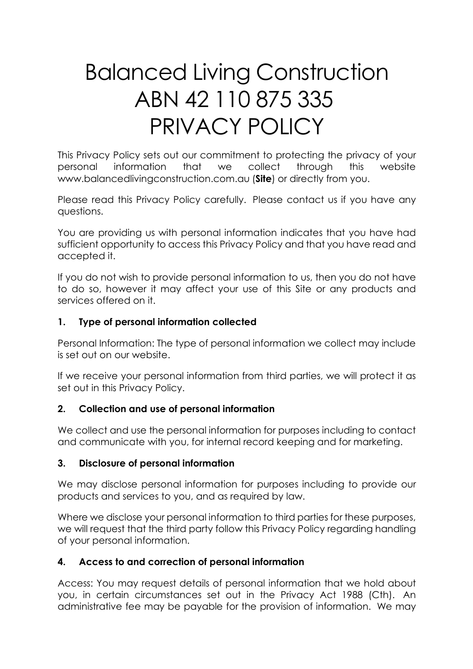# Balanced Living Construction ABN 42 110 875 335 PRIVACY POLICY

This Privacy Policy sets out our commitment to protecting the privacy of your personal information that we collect through this website www.balancedlivingconstruction.com.au (**Site**) or directly from you.

Please read this Privacy Policy carefully. Please contact us if you have any questions.

You are providing us with personal information indicates that you have had sufficient opportunity to access this Privacy Policy and that you have read and accepted it.

If you do not wish to provide personal information to us, then you do not have to do so, however it may affect your use of this Site or any products and services offered on it.

# **1. Type of personal information collected**

Personal Information: The type of personal information we collect may include is set out on our website.

If we receive your personal information from third parties, we will protect it as set out in this Privacy Policy.

# **2. Collection and use of personal information**

We collect and use the personal information for purposes including to contact and communicate with you, for internal record keeping and for marketing.

# **3. Disclosure of personal information**

We may disclose personal information for purposes including to provide our products and services to you, and as required by law.

Where we disclose your personal information to third parties for these purposes, we will request that the third party follow this Privacy Policy regarding handling of your personal information.

# **4. Access to and correction of personal information**

Access: You may request details of personal information that we hold about you, in certain circumstances set out in the Privacy Act 1988 (Cth). An administrative fee may be payable for the provision of information. We may